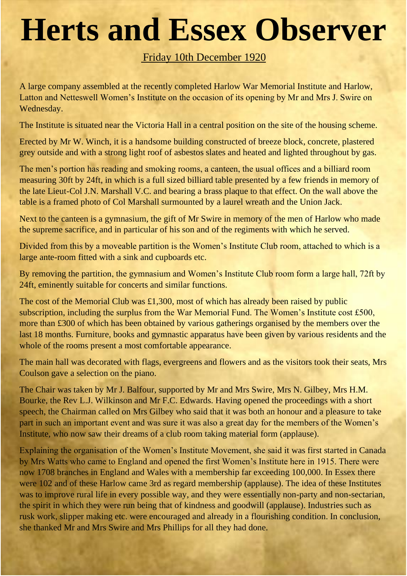## **Herts and Essex Observer**

## Friday 10th December 1920

A large company assembled at the recently completed Harlow War Memorial Institute and Harlow, Latton and Netteswell Women's Institute on the occasion of its opening by Mr and Mrs J. Swire on Wednesday.

The Institute is situated near the Victoria Hall in a central position on the site of the housing scheme.

Erected by Mr W. Winch, it is a handsome building constructed of breeze block, concrete, plastered grey outside and with a strong light roof of asbestos slates and heated and lighted throughout by gas.

The men's portion has reading and smoking rooms, a canteen, the usual offices and a billiard room measuring 30ft by 24ft, in which is a full sized billiard table presented by a few friends in memory of the late Lieut-Col J.N. Marshall V.C. and bearing a brass plaque to that effect. On the wall above the table is a framed photo of Col Marshall surmounted by a laurel wreath and the Union Jack.

Next to the canteen is a gymnasium, the gift of Mr Swire in memory of the men of Harlow who made the supreme sacrifice, and in particular of his son and of the regiments with which he served.

Divided from this by a moveable partition is the Women's Institute Club room, attached to which is a large ante-room fitted with a sink and cupboards etc.

By removing the partition, the gymnasium and Women's Institute Club room form a large hall, 72ft by 24ft, eminently suitable for concerts and similar functions.

The cost of the Memorial Club was £1,300, most of which has already been raised by public subscription, including the surplus from the War Memorial Fund. The Women's Institute cost £500, more than £300 of which has been obtained by various gatherings organised by the members over the last 18 months. Furniture, books and gymnastic apparatus have been given by various residents and the whole of the rooms present a most comfortable appearance.

The main hall was decorated with flags, evergreens and flowers and as the visitors took their seats, Mrs Coulson gave a selection on the piano.

The Chair was taken by Mr J. Balfour, supported by Mr and Mrs Swire, Mrs N. Gilbey, Mrs H.M. Bourke, the Rev L.J. Wilkinson and Mr F.C. Edwards. Having opened the proceedings with a short speech, the Chairman called on Mrs Gilbey who said that it was both an honour and a pleasure to take part in such an important event and was sure it was also a great day for the members of the Women's Institute, who now saw their dreams of a club room taking material form (applause).

Explaining the organisation of the Women's Institute Movement, she said it was first started in Canada by Mrs Watts who came to England and opened the first Women's Institute here in 1915. There were now 1708 branches in England and Wales with a membership far exceeding 100,000. In Essex there were 102 and of these Harlow came 3rd as regard membership (applause). The idea of these Institutes was to improve rural life in every possible way, and they were essentially non-party and non-sectarian, the spirit in which they were run being that of kindness and goodwill (applause). Industries such as rusk work, slipper making etc. were encouraged and already in a flourishing condition. In conclusion, she thanked Mr and Mrs Swire and Mrs Phillips for all they had done.